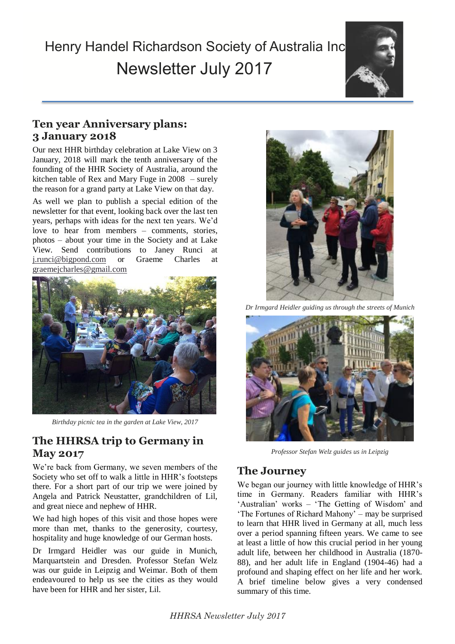# Henry Handel Richardson Society of Australia Inc. Newsletter July 2017



# **Ten year Anniversary plans: 3 January 2018**

Our next HHR birthday celebration at Lake View on 3 January, 2018 will mark the tenth anniversary of the founding of the HHR Society of Australia, around the kitchen table of Rex and Mary Fuge in 2008 – surely the reason for a grand party at Lake View on that day.

 $photos - about your time in the Society and at Lake$ As well we plan to publish a special edition of the newsletter for that event, looking back over the last ten years, perhaps with ideas for the next ten years. We'd love to hear from members – comments, stories, View. Send contributions to Janey Runci at [j.runci@bigpond.com](mailto:j.runci@bigpond.com) or Graeme Charles at [graemejcharles@gmail.com](mailto:graemejcharles@gmail.com)



*Birthday picnic tea in the garden at Lake View, 2017*

# **The HHRSA trip to Germany in May 2017**

We're back from Germany, we seven members of the Society who set off to walk a little in HHR's footsteps there. For a short part of our trip we were joined by Angela and Patrick Neustatter, grandchildren of Lil, and great niece and nephew of HHR.

We had high hopes of this visit and those hopes were more than met, thanks to the generosity, courtesy, hospitality and huge knowledge of our German hosts.

Dr Irmgard Heidler was our guide in Munich, Marquartstein and Dresden. Professor Stefan Welz was our guide in Leipzig and Weimar. Both of them endeavoured to help us see the cities as they would have been for HHR and her sister, Lil.



*Dr Irmgard Heidler guiding us through the streets of Munich*



*Professor Stefan Welz guides us in Leipzig*

## **The Journey**

We began our journey with little knowledge of HHR's time in Germany. Readers familiar with HHR's 'Australian' works – 'The Getting of Wisdom' and 'The Fortunes of Richard Mahony' – may be surprised to learn that HHR lived in Germany at all, much less over a period spanning fifteen years. We came to see at least a little of how this crucial period in her young adult life, between her childhood in Australia (1870- 88), and her adult life in England (1904-46) had a profound and shaping effect on her life and her work. A brief timeline below gives a very condensed summary of this time.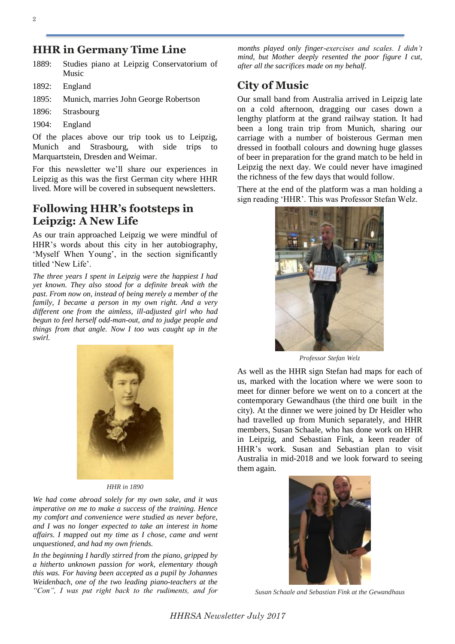#### **HHR in Germany Time Line**

- 1889: Studies piano at Leipzig Conservatorium of Music
- 1892: England
- 1895: Munich, marries John George Robertson
- 1896: Strasbourg
- 1904: England

Of the places above our trip took us to Leipzig, Munich and Strasbourg, with side trips to Marquartstein, Dresden and Weimar.

For this newsletter we'll share our experiences in Leipzig as this was the first German city where HHR lived. More will be covered in subsequent newsletters.

## **Following HHR's footsteps in Leipzig: A New Life**

As our train approached Leipzig we were mindful of HHR's words about this city in her autobiography, 'Myself When Young', in the section significantly titled 'New Life'.

*The three years I spent in Leipzig were the happiest I had yet known. They also stood for a definite break with the past. From now on, instead of being merely a member of the family, I became a person in my own right. And a very different one from the aimless, ill-adjusted girl who had begun to feel herself odd-man-out, and to judge people and things from that angle. Now I too was caught up in the swirl.*



*HHR in 1890*

*We had come abroad solely for my own sake, and it was imperative on me to make a success of the training. Hence my comfort and convenience were studied as never before, and I was no longer expected to take an interest in home affairs. I mapped out my time as I chose, came and went unquestioned, and had my own friends.*

*In the beginning I hardly stirred from the piano, gripped by a hitherto unknown passion for work, elementary though this was. For having been accepted as a pupil by Johannes Weidenbach, one of the two leading piano-teachers at the "Con", I was put right back to the rudiments, and for* 

*months played only finger-exercises and scales. I didn't mind, but Mother deeply resented the poor figure I cut, after all the sacrifices made on my behalf.*

## **City of Music**

Our small band from Australia arrived in Leipzig late on a cold afternoon, dragging our cases down a lengthy platform at the grand railway station. It had been a long train trip from Munich, sharing our carriage with a number of boisterous German men dressed in football colours and downing huge glasses of beer in preparation for the grand match to be held in Leipzig the next day. We could never have imagined the richness of the few days that would follow.

There at the end of the platform was a man holding a sign reading 'HHR'. This was Professor Stefan Welz.



*Professor Stefan Welz*

As well as the HHR sign Stefan had maps for each of us, marked with the location where we were soon to meet for dinner before we went on to a concert at the contemporary Gewandhaus (the third one built in the city). At the dinner we were joined by Dr Heidler who had travelled up from Munich separately, and HHR members, Susan Schaale, who has done work on HHR in Leipzig, and Sebastian Fink, a keen reader of HHR's work. Susan and Sebastian plan to visit Australia in mid-2018 and we look forward to seeing them again.



*Susan Schaale and Sebastian Fink at the Gewandhaus*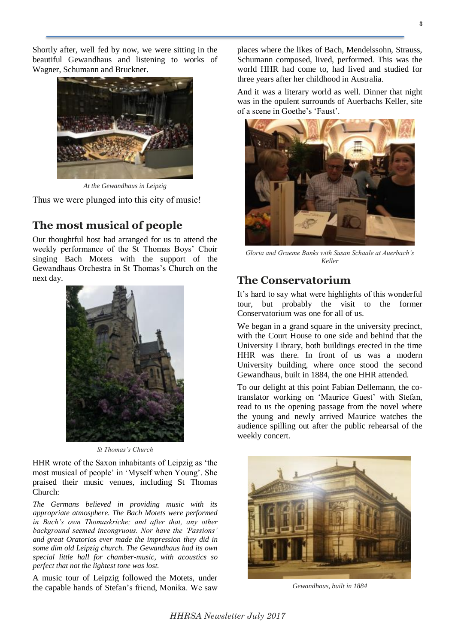Shortly after, well fed by now, we were sitting in the beautiful Gewandhaus and listening to works of Wagner, Schumann and Bruckner.



*At the Gewandhaus in Leipzig*

Thus we were plunged into this city of music!

#### **The most musical of people**

Our thoughtful host had arranged for us to attend the weekly performance of the St Thomas Boys' Choir singing Bach Motets with the support of the Gewandhaus Orchestra in St Thomas's Church on the next day.



*St Thomas's Church*

HHR wrote of the Saxon inhabitants of Leipzig as 'the most musical of people' in 'Myself when Young'. She praised their music venues, including St Thomas Church:

*The Germans believed in providing music with its appropriate atmosphere. The Bach Motets were performed in Bach's own Thomaskriche; and after that, any other background seemed incongruous. Nor have the 'Passions' and great Oratorios ever made the impression they did in some dim old Leipzig church. The Gewandhaus had its own special little hall for chamber-music, with acoustics so perfect that not the lightest tone was lost.* 

A music tour of Leipzig followed the Motets, under the capable hands of Stefan's friend, Monika. We saw places where the likes of Bach, Mendelssohn, Strauss, Schumann composed, lived, performed. This was the world HHR had come to, had lived and studied for three years after her childhood in Australia.

And it was a literary world as well. Dinner that night was in the opulent surrounds of Auerbachs Keller, site of a scene in Goethe's 'Faust'.



*Gloria and Graeme Banks with Susan Schaale at Auerbach's Keller*

#### **The Conservatorium**

It's hard to say what were highlights of this wonderful tour, but probably the visit to the former Conservatorium was one for all of us.

We began in a grand square in the university precinct, with the Court House to one side and behind that the University Library, both buildings erected in the time HHR was there. In front of us was a modern University building, where once stood the second Gewandhaus, built in 1884, the one HHR attended.

To our delight at this point Fabian Dellemann, the cotranslator working on 'Maurice Guest' with Stefan, read to us the opening passage from the novel where the young and newly arrived Maurice watches the audience spilling out after the public rehearsal of the weekly concert.



*Gewandhaus, built in 1884*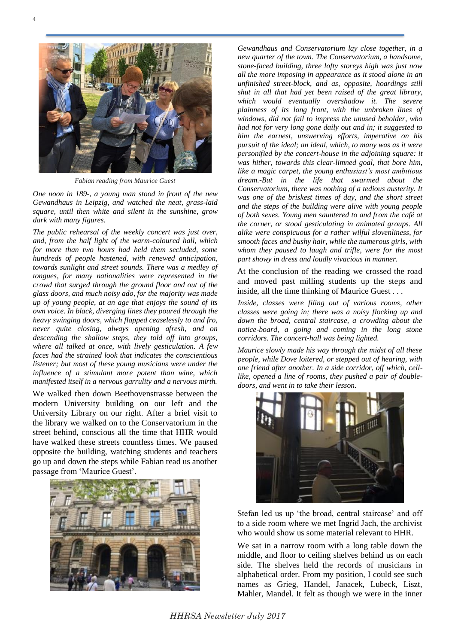

*Fabian reading from Maurice Guest*

*One noon in 189-, a young man stood in front of the new Gewandhaus in Leipzig, and watched the neat, grass-laid square, until then white and silent in the sunshine, grow dark with many figures.* 

*The public rehearsal of the weekly concert was just over, and, from the half light of the warm-coloured hall, which for more than two hours had held them secluded, some hundreds of people hastened, with renewed anticipation, towards sunlight and street sounds. There was a medley of tongues, for many nationalities were represented in the crowd that surged through the ground floor and out of the glass doors, and much noisy ado, for the majority was made up of young people, at an age that enjoys the sound of its own voice. In black, diverging lines they poured through the heavy swinging doors, which flapped ceaselessly to and fro, never quite closing, always opening afresh, and on descending the shallow steps, they told off into groups, where all talked at once, with lively gesticulation. A few faces had the strained look that indicates the conscientious listener; but most of these young musicians were under the influence of a stimulant more potent than wine, which manifested itself in a nervous garrulity and a nervous mirth.*

We walked then down Beethovenstrasse between the modern University building on our left and the University Library on our right. After a brief visit to the library we walked on to the Conservatorium in the street behind, conscious all the time that HHR would have walked these streets countless times. We paused opposite the building, watching students and teachers go up and down the steps while Fabian read us another passage from 'Maurice Guest'.



*Gewandhaus and Conservatorium lay close together, in a new quarter of the town. The Conservatorium, a handsome, stone-faced building, three lofty storeys high was just now all the more imposing in appearance as it stood alone in an unfinished street-block, and as, opposite, hoardings still shut in all that had yet been raised of the great library, which would eventually overshadow it. The severe plainness of its long front, with the unbroken lines of windows, did not fail to impress the unused beholder, who had not for very long gone daily out and in; it suggested to him the earnest, unswerving efforts, imperative on his pursuit of the ideal; an ideal, which, to many was as it were personified by the concert-house in the adjoining square: it was hither, towards this clear-limned goal, that bore him, like a magic carpet, the young enthusiast's most ambitious dream.-But in the life that swarmed about the Conservatorium, there was nothing of a tedious austerity. It*  was one of the briskest times of day, and the short street *and the steps of the building were alive with young people of both sexes. Young men sauntered to and from the café at the corner, or stood gesticulating in animated groups. All alike were conspicuous for a rather wilful slovenliness, for smooth faces and bushy hair, while the numerous girls, with whom they paused to laugh and trifle, were for the most part showy in dress and loudly vivacious in manner.* 

At the conclusion of the reading we crossed the road and moved past milling students up the steps and inside, all the time thinking of Maurice Guest . . .

*Inside, classes were filing out of various rooms, other classes were going in; there was a noisy flocking up and down the broad, central staircase, a crowding about the notice-board, a going and coming in the long stone corridors. The concert-hall was being lighted.*

*Maurice slowly made his way through the midst of all these people, while Dove loitered, or stepped out of hearing, with one friend after another. In a side corridor, off which, celllike, opened a line of rooms, they pushed a pair of doubledoors, and went in to take their lesson.*



Stefan led us up 'the broad, central staircase' and off to a side room where we met Ingrid Jach, the archivist who would show us some material relevant to HHR

We sat in a narrow room with a long table down the middle, and floor to ceiling shelves behind us on each side. The shelves held the records of musicians in alphabetical order. From my position, I could see such names as Grieg, Handel, Janacek, Lubeck, Liszt, Mahler, Mandel. It felt as though we were in the inner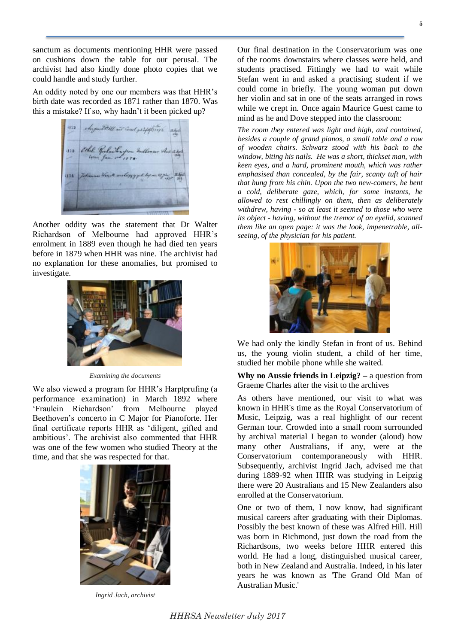sanctum as documents mentioning HHR were passed on cushions down the table for our perusal. The archivist had also kindly done photo copies that we could handle and study further.

An oddity noted by one our members was that HHR's birth date was recorded as 1871 rather than 1870. Was this a mistake? If so, why hadn't it been picked up?



Another oddity was the statement that Dr Walter Richardson of Melbourne had approved HHR's enrolment in 1889 even though he had died ten years before in 1879 when HHR was nine. The archivist had no explanation for these anomalies, but promised to investigate.



*Examining the documents*

We also viewed a program for HHR's Harptprufing (a performance examination) in March 1892 where 'Fraulein Richardson' from Melbourne played Beethoven's concerto in C Major for Pianoforte. Her final certificate reports HHR as 'diligent, gifted and ambitious'. The archivist also commented that HHR was one of the few women who studied Theory at the time, and that she was respected for that.



*Ingrid Jach, archivist*

Our final destination in the Conservatorium was one of the rooms downstairs where classes were held, and students practised. Fittingly we had to wait while Stefan went in and asked a practising student if we could come in briefly. The young woman put down her violin and sat in one of the seats arranged in rows while we crept in. Once again Maurice Guest came to mind as he and Dove stepped into the classroom:

*The room they entered was light and high, and contained, besides a couple of grand pianos, a small table and a row of wooden chairs. Schwarz stood with his back to the window, biting his nails. He was a short, thickset man, with keen eyes, and a hard, prominent mouth, which was rather emphasised than concealed, by the fair, scanty tuft of hair that hung from his chin. Upon the two new-comers, he bent a cold, deliberate gaze, which, for some instants, he allowed to rest chillingly on them, then as deliberately withdrew, having - so at least it seemed to those who were its object - having, without the tremor of an eyelid, scanned them like an open page: it was the look, impenetrable, allseeing, of the physician for his patient.* 



We had only the kindly Stefan in front of us. Behind us, the young violin student, a child of her time, studied her mobile phone while she waited.

**Why no Aussie friends in Leipzig? –** a question from Graeme Charles after the visit to the archives

As others have mentioned, our visit to what was known in HHR's time as the Royal Conservatorium of Music, Leipzig, was a real highlight of our recent German tour. Crowded into a small room surrounded by archival material I began to wonder (aloud) how many other Australians, if any, were at the Conservatorium contemporaneously with HHR. Subsequently, archivist Ingrid Jach, advised me that during 1889-92 when HHR was studying in Leipzig there were 20 Australians and 15 New Zealanders also enrolled at the Conservatorium.

One or two of them, I now know, had significant musical careers after graduating with their Diplomas. Possibly the best known of these was Alfred Hill. Hill was born in Richmond, just down the road from the Richardsons, two weeks before HHR entered this world. He had a long, distinguished musical career, both in New Zealand and Australia. Indeed, in his later years he was known as 'The Grand Old Man of Australian Music.'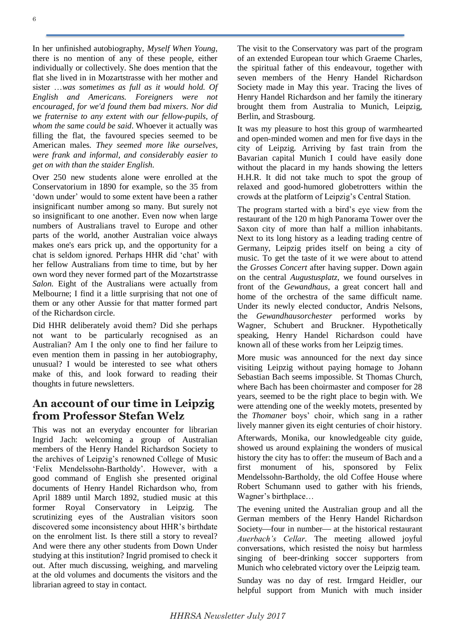In her unfinished autobiography, *Myself When Young*, there is no mention of any of these people, either individually or collectively. She does mention that the flat she lived in in Mozartstrasse with her mother and sister …*was sometimes as full as it would hold. Of English and Americans. Foreigners were not encouraged, for we'd found them bad mixers. Nor did we fraternise to any extent with our fellow-pupils, of whom the same could be said*. Whoever it actually was filling the flat, the favoured species seemed to be American males*. They seemed more like ourselves, were frank and informal, and considerably easier to get on with than the staider English.*

Over 250 new students alone were enrolled at the Conservatorium in 1890 for example, so the 35 from 'down under' would to some extent have been a rather insignificant number among so many. But surely not so insignificant to one another. Even now when large numbers of Australians travel to Europe and other parts of the world, another Australian voice always makes one's ears prick up, and the opportunity for a chat is seldom ignored. Perhaps HHR did 'chat' with her fellow Australians from time to time, but by her own word they never formed part of the Mozartstrasse *Salon.* Eight of the Australians were actually from Melbourne; I find it a little surprising that not one of them or any other Aussie for that matter formed part of the Richardson circle.

Did HHR deliberately avoid them? Did she perhaps not want to be particularly recognised as an Australian? Am I the only one to find her failure to even mention them in passing in her autobiography, unusual? I would be interested to see what others make of this, and look forward to reading their thoughts in future newsletters.

#### **An account of our time in Leipzig from Professor Stefan Welz**

This was not an everyday encounter for librarian Ingrid Jach: welcoming a group of Australian members of the Henry Handel Richardson Society to the archives of Leipzig's renowned College of Music 'Felix Mendelssohn-Bartholdy'. However, with a good command of English she presented original documents of Henry Handel Richardson who, from April 1889 until March 1892, studied music at this former Royal Conservatory in Leipzig. The scrutinizing eyes of the Australian visitors soon discovered some inconsistency about HHR's birthdate on the enrolment list. Is there still a story to reveal? And were there any other students from Down Under studying at this institution? Ingrid promised to check it out. After much discussing, weighing, and marveling at the old volumes and documents the visitors and the librarian agreed to stay in contact.

The visit to the Conservatory was part of the program of an extended European tour which Graeme Charles, the spiritual father of this endeavour, together with seven members of the Henry Handel Richardson Society made in May this year. Tracing the lives of Henry Handel Richardson and her family the itinerary brought them from Australia to Munich, Leipzig, Berlin, and Strasbourg.

It was my pleasure to host this group of warmhearted and open-minded women and men for five days in the city of Leipzig. Arriving by fast train from the Bavarian capital Munich I could have easily done without the placard in my hands showing the letters H.H.R. It did not take much to spot the group of relaxed and good-humored globetrotters within the crowds at the platform of Leipzig's Central Station.

The program started with a bird's eye view from the restaurant of the 120 m high Panorama Tower over the Saxon city of more than half a million inhabitants. Next to its long history as a leading trading centre of Germany, Leipzig prides itself on being a city of music. To get the taste of it we were about to attend the *Grosses Concert* after having supper. Down again on the central *Augustusplatz*, we found ourselves in front of the *Gewandhaus,* a great concert hall and home of the orchestra of the same difficult name. Under its newly elected conductor, Andris Nelsons, the *Gewandhausorchester* performed works by Wagner, Schubert and Bruckner. Hypothetically speaking, Henry Handel Richardson could have known all of these works from her Leipzig times.

More music was announced for the next day since visiting Leipzig without paying homage to Johann Sebastian Bach seems impossible. St Thomas Church, where Bach has been choirmaster and composer for 28 years, seemed to be the right place to begin with. We were attending one of the weekly motets, presented by the *Thomaner* boys' choir, which sang in a rather lively manner given its eight centuries of choir history.

Afterwards, Monika, our knowledgeable city guide, showed us around explaining the wonders of musical history the city has to offer: the museum of Bach and a first monument of his, sponsored by Felix Mendelssohn-Bartholdy, the old Coffee House where Robert Schumann used to gather with his friends, Wagner's birthplace…

The evening united the Australian group and all the German members of the Henry Handel Richardson Society—four in number— at the historical restaurant *Auerbach's Cellar*. The meeting allowed joyful conversations, which resisted the noisy but harmless singing of beer-drinking soccer supporters from Munich who celebrated victory over the Leipzig team.

Sunday was no day of rest. Irmgard Heidler, our helpful support from Munich with much insider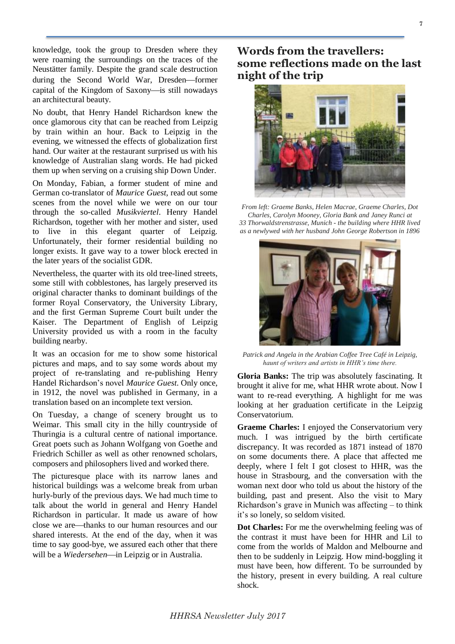knowledge, took the group to Dresden where they were roaming the surroundings on the traces of the Neustätter family. Despite the grand scale destruction during the Second World War, Dresden-former capital of the Kingdom of Saxony-is still nowadays an architectural beauty.

No doubt, that Henry Handel Richardson knew the once glamorous city that can be reached from Leipzig by train within an hour. Back to Leipzig in the evening, we witnessed the effects of globalization first hand. Our waiter at the restaurant surprised us with his knowledge of Australian slang words. He had picked them up when serving on a cruising ship Down Under.

On Monday, Fabian, a former student of mine and German co-translator of *Maurice Guest,* read out some scenes from the novel while we were on our tour through the so-called *Musikviertel*. Henry Handel Richardson, together with her mother and sister, used to live in this elegant quarter of Leipzig. Unfortunately, their former residential building no longer exists. It gave way to a tower block erected in the later years of the socialist GDR.

Nevertheless, the quarter with its old tree-lined streets, some still with cobblestones, has largely preserved its original character thanks to dominant buildings of the former Royal Conservatory, the University Library, and the first German Supreme Court built under the Kaiser. The Department of English of Leipzig University provided us with a room in the faculty building nearby.

It was an occasion for me to show some historical pictures and maps, and to say some words about my project of re-translating and re-publishing Henry Handel Richardson's novel *Maurice Guest*. Only once, in 1912, the novel was published in Germany, in a translation based on an incomplete text version.

On Tuesday, a change of scenery brought us to Weimar. This small city in the hilly countryside of Thuringia is a cultural centre of national importance. Great poets such as Johann Wolfgang von Goethe and Friedrich Schiller as well as other renowned scholars, composers and philosophers lived and worked there.

The picturesque place with its narrow lanes and historical buildings was a welcome break from urban hurly-burly of the previous days. We had much time to talk about the world in general and Henry Handel Richardson in particular. It made us aware of how close we are—thanks to our human resources and our shared interests. At the end of the day, when it was time to say good-bye, we assured each other that there will be a *Wiedersehen*—in Leipzig or in Australia.

## **Words from the travellers: some reflections made on the last night of the trip**



*From left: Graeme Banks, Helen Macrae, Graeme Charles, Dot Charles, Carolyn Mooney, Gloria Bank and Janey Runci at 33 Thorwaldstrenstrasse, Munich - the building where HHR lived as a newlywed with her husband John George Robertson in 1896*



*Patrick and Angela in the Arabian Coffee Tree Café in Leipzig, haunt of writers and artists in HHR's time there.*

**Gloria Banks:** The trip was absolutely fascinating. It brought it alive for me, what HHR wrote about. Now I want to re-read everything. A highlight for me was looking at her graduation certificate in the Leipzig Conservatorium.

**Graeme Charles:** I enjoyed the Conservatorium very much. I was intrigued by the birth certificate discrepancy. It was recorded as 1871 instead of 1870 on some documents there. A place that affected me deeply, where I felt I got closest to HHR, was the house in Strasbourg, and the conversation with the woman next door who told us about the history of the building, past and present. Also the visit to Mary Richardson's grave in Munich was affecting – to think it's so lonely, so seldom visited.

**Dot Charles:** For me the overwhelming feeling was of the contrast it must have been for HHR and Lil to come from the worlds of Maldon and Melbourne and then to be suddenly in Leipzig. How mind-boggling it must have been, how different. To be surrounded by the history, present in every building. A real culture shock.